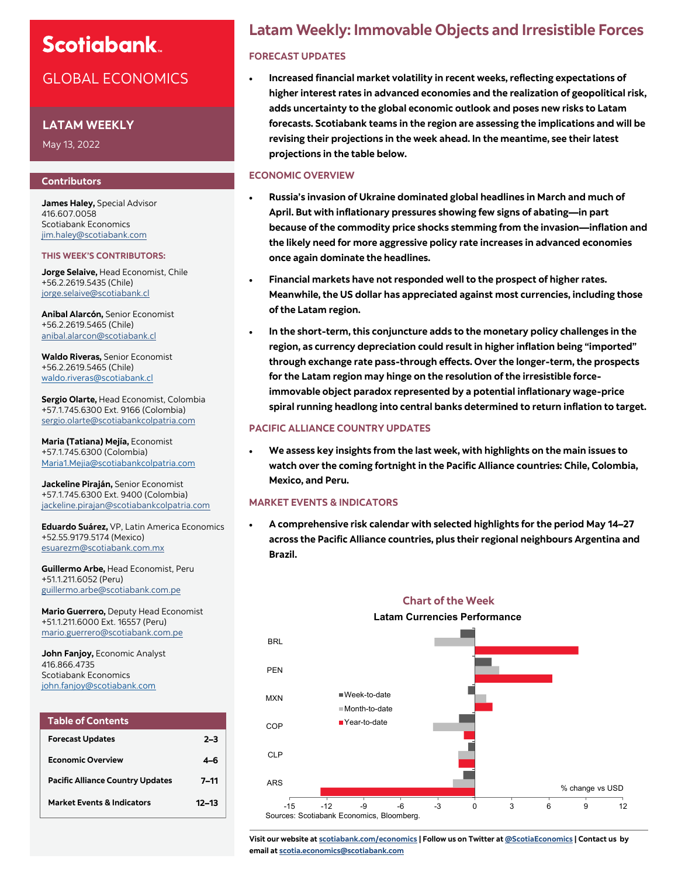# GLOBAL ECONOMICS

### **LATAM WEEKLY**

May 13, 2022

#### **Contributors**

**James Haley,** Special Advisor 416.607.0058 Scotiabank Economics [jim.haley@scotiabank.com](mailto:jim.haley@scotiabank.com)

#### **THIS WEEK'S CONTRIBUTORS:**

**Jorge Selaive,** Head Economist, Chile +56.2.2619.5435 (Chile) [jorge.selaive@scotiabank.cl](mailto:jorge.selaive@scotiabank.cl)

**Anibal Alarcón,** Senior Economist +56.2.2619.5465 (Chile) [anibal.alarcon@scotiabank.cl](mailto:anibal.alarcon@scotiabank.cl)

**Waldo Riveras,** Senior Economist +56.2.2619.5465 (Chile) [waldo.riveras@scotiabank.cl](mailto:waldo.riveras@scotiabank.cl)

**Sergio Olarte,** Head Economist, Colombia +57.1.745.6300 Ext. 9166 (Colombia) [sergio.olarte@scotiabankcolpatria.com](mailto:sergio.olarte@scotiabankcolpatria.com)

**Maria (Tatiana) Mejía,** Economist +57.1.745.6300 (Colombia) [Maria1.Mejia@scotiabankcolpatria.com](mailto:Maria1.Mejia@scotiabankcolpatria.com)

**Jackeline Piraján,** Senior Economist +57.1.745.6300 Ext. 9400 (Colombia) [jackeline.pirajan@scotiabankcolpatria.com](mailto:jackeline.pirajan@scotiabankcolpatria.com)

**Eduardo Suárez,** VP, Latin America Economics +52.55.9179.5174 (Mexico) [esuarezm@scotiabank.com.mx](mailto:esuarezm@scotiabank.com.mx)

**Guillermo Arbe,** Head Economist, Peru +51.1.211.6052 (Peru) [guillermo.arbe@scotiabank.com.pe](mailto:guillermo.arbe@scotiabank.com.pe)

**Mario Guerrero,** Deputy Head Economist +51.1.211.6000 Ext. 16557 (Peru) [mario.guerrero@scotiabank.com.pe](mailto:mario.guerrero@scotiabank.com.pe)

**John Fanjoy,** Economic Analyst 416.866.4735 Scotiabank Economics [john.fanjoy@scotiabank.com](mailto:john.fanjoy@scotiabank.com)

| <b>Table of Contents</b>                |           |
|-----------------------------------------|-----------|
| <b>Forecast Updates</b>                 | $2 - 3$   |
| <b>Economic Overview</b>                | 4–6       |
| <b>Pacific Alliance Country Updates</b> | 7–11      |
| <b>Market Events &amp; Indicators</b>   | $12 - 13$ |

# **Latam Weekly: Immovable Objects and Irresistible Forces**

## **[FORECAST UPDATES](#page-1-0)**

• **Increased financial market volatility in recent weeks, reflecting expectations of higher interest rates in advanced economies and the realization of geopolitical risk, adds uncertainty to the global economic outlook and poses new risks to Latam forecasts. Scotiabank teams in the region are assessing the implications and will be revising their projections in the week ahead. In the meantime, see their latest projections in the table below.**

#### **[ECONOMIC OVERVIEW](#page-3-0)**

- **Russia's invasion of Ukraine dominated global headlines in March and much of April. But with inflationary pressures showing few signs of abating—in part because of the commodity price shocks stemming from the invasion—inflation and the likely need for more aggressive policy rate increases in advanced economies once again dominate the headlines.**
- **Financial markets have not responded well to the prospect of higher rates. Meanwhile, the US dollar has appreciated against most currencies, including those of the Latam region.**
- **In the short-term, this conjuncture adds to the monetary policy challenges in the region, as currency depreciation could result in higher inflation being "imported" through exchange rate pass-through effects. Over the longer-term, the prospects for the Latam region may hinge on the resolution of the irresistible forceimmovable object paradox represented by a potential inflationary wage-price spiral running headlong into central banks determined to return inflation to target.**

### **[PACIFIC ALLIANCE COUNTRY UPDATES](#page-6-0)**

• **We assess key insights from the last week, with highlights on the main issues to watch over the coming fortnight in the Pacific Alliance countries: Chile, Colombia, Mexico, and Peru.**

#### **[MARKET EVENTS & INDICATORS](#page-11-0)**

• **A comprehensive risk calendar with selected highlights for the period May 14–27 across the Pacific Alliance countries, plus their regional neighbours Argentina and Brazil.**



**Chart of the Week**

**Visit our website at [scotiabank.com/economics](https://www.scotiabank.com/ca/en/about/global-economics/economics-publications.html) | Follow us on Twitter at [@ScotiaEconomics](https://twitter.com/ScotiaEconomics) | Contact us by email at scotia.economics@scotiabank.com**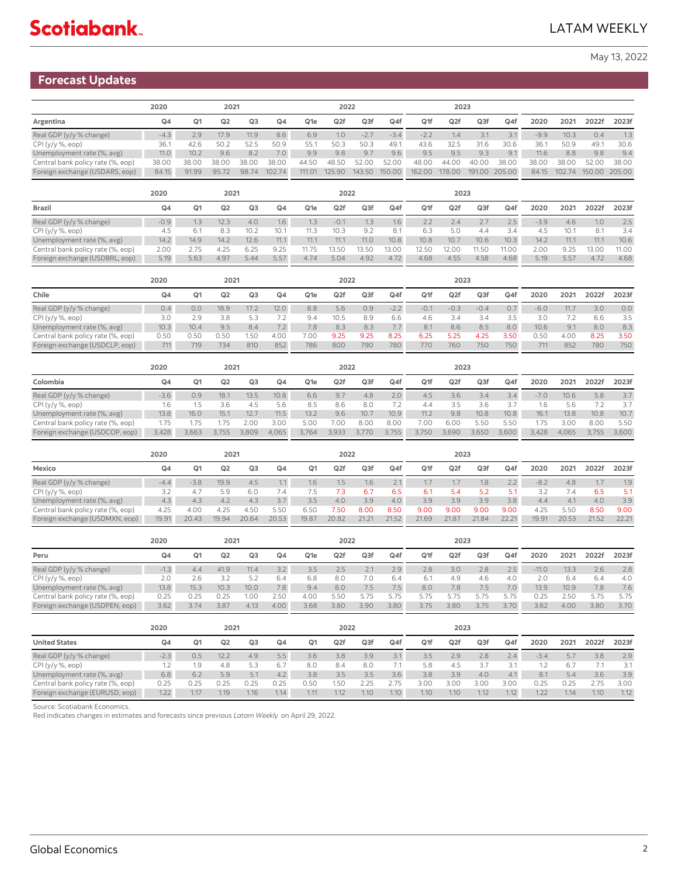## <span id="page-1-0"></span>**Forecast Updates**

|                                   | 2020           | 2021  |       |       |                |                 | 2022            |        |        |        | 2023             |       |               |        |        |       |               |
|-----------------------------------|----------------|-------|-------|-------|----------------|-----------------|-----------------|--------|--------|--------|------------------|-------|---------------|--------|--------|-------|---------------|
| Argentina                         | Q <sub>4</sub> | Q1    | Q2    | Q3    | Q <sub>4</sub> | Q <sub>1e</sub> | Q <sub>2f</sub> | Q3f    | Q4f    | Q1f    | Q <sub>2</sub> f | Q3f   | Q4f           | 2020   | 2021   | 2022f | 2023f         |
| Real GDP (y/y % change)           | $-4.3$         | 2.9   | 17.9  | 11.9  | 8.6            | 6.9             | 1.0             | $-2.7$ | $-3.4$ | $-2.2$ | 1.4              | 3.1   |               | $-9.9$ | 10.3   | 0.4   | 1.3           |
| $CPI(y/y \%, eop)$                | 36.1           | 42.6  | 50.2  | 52.5  | 50.9           | 55.1            | 50.3            | 50.3   | 49.    | 43.6   | 32.5             | 31.6  | 30.6          | 36.7   | 50.9   | 49.1  | 30.6          |
| Unemployment rate (%, avg)        | 11.0           | 10.2  | 9.6   | 8.2   | 7.0            | 9.9             | 9.8             | 9.7    | 9.6    | 9.5    | 9.5              | 9.3   | 9.1           | 11.6   | 8.8    | 9.8   | 9.4           |
| Central bank policy rate (%, eop) | 38.00          | 38.00 | 38.00 | 38.00 | 38.00          | 44.50           | 48.50           | 52.00  | 52.00  | 48.00  | 44.00            | 40.00 | 38.00         | 38.00  | 38.00  | 52.00 | 38.00         |
| Foreign exchange (USDARS, eop)    | 84.15          | 91.99 | 95.72 | 98.74 | 102.74         | 111.01          | 125.90          | 143.50 | 150.00 | 162.00 | 178.00           |       | 191.00 205.00 | 84.15  | 102.74 |       | 150.00 205.00 |

|                                   | 2020   |                | 2021 |                |                |                 | 2022   |       |       |       | 2023            |       |       |        |      |       |       |
|-----------------------------------|--------|----------------|------|----------------|----------------|-----------------|--------|-------|-------|-------|-----------------|-------|-------|--------|------|-------|-------|
| <b>Brazil</b>                     | $Q_4$  | Q <sub>1</sub> | Q2   | Q <sub>3</sub> | Q <sub>4</sub> | Q <sub>1e</sub> | Q2f    | Q3f   | Q4f   | Q1f   | Q <sub>2f</sub> | Q3f   | Q4f   | 2020   | 2021 | 2022f | 2023f |
| Real GDP (y/y % change)           | $-0.9$ |                |      | 4.0            | 1.6            | $\cdot$ 3       | $-0.1$ |       | 1.6   |       | 2.4             |       | 2.5   | $-3.9$ | 4.6  | 1.0   | 2.5   |
| CPI (y/y %, eop)                  | 4.5    | 6.1            | 8.3  | 10.2           | 10.1           |                 |        | 9.2   | 8.1   | 6.3   | 5.0             | 4.4   | 3.4   |        | 10.  | 8.1   | 3.4   |
| Unemployment rate (%, avg)        | 14.2   | 14.9           | 14.2 | 12.6           | 11.1           | 11.1            | 11.1   | 11.0  | 10.8  | 10.8  | 10.7            | 10.6  | 10.3  | 14.2   | 11.1 | 11.1  | 10.6  |
| Central bank policy rate (%, eop) | 2.00   | 2.75           | 4.25 | 6.25           | 9.25           | 11.75           | 13.50  | 13.50 | 13.00 | 12.50 | 12.00           | 11.50 | 11.00 | 2.00   | 9.25 | 13.00 | 11.00 |
| Foreign exchange (USDBRL, eop)    | 5.19   | 5.63           | 4.97 | 5.44           | 5.57           | 4.74            | 5.04   | 4.92  | 4.72  | 4.68  | 4.55            | 4.58  | 4.68  | 5.19   | 5.57 | 4.72  | 4.68  |

|                                   | 2020 |                | 2021           |      |                |                 | 2022            |      |        |        | 2023            |        |      |        |      |       |       |
|-----------------------------------|------|----------------|----------------|------|----------------|-----------------|-----------------|------|--------|--------|-----------------|--------|------|--------|------|-------|-------|
| Chile                             | Q4   | Q <sub>1</sub> | Q <sub>2</sub> | Q3   | Q <sub>4</sub> | Q <sub>1e</sub> | Q <sub>2f</sub> | Q3f  | Q4f    | Q1f    | Q <sub>2f</sub> | Q3f    | Q4f  | 2020   | 2021 | 2022f | 2023f |
| Real GDP (y/y % change)           | 0.4  | 0.0            | 18.9           | 17.2 | 12.0           | 8.8             | 5.6             | 0.9  | $-2.2$ | $-0.7$ | $-0.3$          | $-0.4$ | 0.7  | $-6.0$ | 11.7 | 3.0   | 0.0   |
| CPI (y/y %, eop)                  | 3.0  | 2.9            | 3.8            |      |                | 9.4             | 10.5            | 8.9  | 6.6    | 4.6    | 3.4             | 3.4    | 3.5  | 3.0    |      | 6.6   | 3.5   |
| Unemployment rate (%, avg)        | 10.3 | 10.4           | 9.5            | 8.4  | $7.2^{\circ}$  | 7.8             | 8.3             | 8.3  | 7.7    | 8.1    | 8.6             | 8.5    | 8.0  | 10.6   | 9.1  | 8.0   | 8.3   |
| Central bank policy rate (%, eop) | 0.50 | 0.50           | 0.50           | 1.5C | 4.00           | 7.00            | 9.25            | 9.25 | 8.25   | 6.25   | 5.25            | 4.25   | 3.50 | 0.50   | 4.00 | 8.25  | 3.50  |
| Foreign exchange (USDCLP, eop)    |      | 719            | 734            | 810  | 852            | 786             | 800             | 790  | 780    | 770    | 760             | 750    | 750  | 711    | 852  | 780   | 750   |

|                                   | 2020           |       | 2021           |       |       |                 | 2022            |       |                   |       | 2023             |       |       |        |       |       |       |
|-----------------------------------|----------------|-------|----------------|-------|-------|-----------------|-----------------|-------|-------------------|-------|------------------|-------|-------|--------|-------|-------|-------|
| Colombia                          | Q <sub>4</sub> | Q1    | Q <sub>2</sub> | Q3    | Q4    | Q <sub>1e</sub> | Q <sub>2f</sub> | Q3f   | Q4f               | Q1f   | Q <sub>2</sub> f | Q3f   | Q4f   | 2020   | 2021  | 2022f | 2023f |
| Real GDP (y/y % change)           | $-3.6$         | 0.9   | 18.1           | 13.5  | 10.8  | 6.6             | 9.7             | 4.8   | $2.0-$            | 4.5   | 3.6              | 3.4   | 3.4   | $-7.0$ | 10.6  | 5.8   |       |
| CPI (y/y %, eop)                  | . 6            |       | 3.6            | 4.5   | 5.6   | 8.5             | 8.6             | 8.0   |                   | 4.4   | 3.5              | 3.6   |       | 1.6    | 5.6   |       |       |
| Unemployment rate (%, avg)        | 13.8           | 16.0  | 15.1           | 12.7  | 11.5  | 13.2            | 9.6             | 10.7  | 10.9 <sup>°</sup> | 11.2  | 9.8              | 10.8  | 10.8  | 16.1   | 13.8  | 10.8  | 10.7  |
| Central bank policy rate (%, eop) | 1.75           | 75    | 75             | 2.00  | 3.00  | 5.00            | 00.5            | 8.00  | 8.00              | 7.00  | 6.00             | 5.50  | 5.50  | 75     | 3.00  | 8.00  | 5.50  |
| Foreign exchange (USDCOP, eop)    | 3,428          | 3,663 | 3.755          | 3,809 | 4,065 | 3,764           | 3,933           | 1.770 | 3,755             | 3,750 | 3,690            | 3,650 | 3,600 | 3,428  | 4,065 | 3,755 | 3,600 |

|                                   | 2020           | 2021           |                |       |                |                | 2022          |       |       |       | 2023            |       |               |        |       |       |       |
|-----------------------------------|----------------|----------------|----------------|-------|----------------|----------------|---------------|-------|-------|-------|-----------------|-------|---------------|--------|-------|-------|-------|
| Mexico                            | Q <sub>4</sub> | Q <sub>1</sub> | Q <sub>2</sub> | Q3    | Q <sub>4</sub> | Q <sub>1</sub> | Q2f           | Q3f   | Q4f   | Q1f   | Q <sub>2f</sub> | Q3f   | Q4f           | 2020   | 2021  | 2022f | 2023f |
| Real GDP (y/y % change)           | $-4.4$         | $-3.8$         | 19.9           | 4.5   |                | 1.6            | $1.5^{\circ}$ | 1.6   |       |       |                 | 1.8   | $2.2^{\circ}$ | $-8.2$ | 4.8   | 1.7   | 1.9   |
| CPI (y/y %, eop)                  |                | 4.7            | 5.9            | 6.0   |                |                | 7.3           | 6.7   | 6.5   | 6.1   | 5.4             | 5.2   | 51            |        | .4    | 6.5   | 5.1   |
| Unemployment rate (%, avg)        | 4.3            | 4.3            | 4.2            | 4.3   |                | 3.5            | 4.0           | 3.9   | 4.0   | 3.9   | 3.9             | 3.9   | 3.8           | 4.4    | 4.1   | 4.0   | 3.9   |
| Central bank policy rate (%, eop) | 4.25           | 4.00           | 4.25           | 4.50  | 5.50           | 6.50           | .50           | 8.00  | 8.50  | 9.00  | 9.00            | 9.00  | 9.00          | 4.25   | 5.50  | 8.50  | 9.00  |
| Foreign exchange (USDMXN, eop)    | 19.91          | 20.43          | 19.94          | 20.64 | 20.53          | 19.87          | 20.82         | 21.21 | 21.52 | 21.69 | 21.87           | 21.84 | 22.21         | 19.91  | 20.53 | 21.52 | 22.21 |

|                                   | 2020<br>2021 |                |      |      |      | 2022            |      |      |      | 2023 |      |      |      |         |      |       |       |
|-----------------------------------|--------------|----------------|------|------|------|-----------------|------|------|------|------|------|------|------|---------|------|-------|-------|
| Peru                              | Q4           | Q <sub>1</sub> | Q2   | Q3   | Q4   | Q <sub>1e</sub> | Q2f  | Q3f  | Q4f  | Q1f  | Q2f  | Q3f  | Q4f  | 2020    | 2021 | 2022f | 2023f |
| Real GDP (y/y % change)           | 1.3          | 4.4            | 41.9 | 11.4 | 3.2  |                 | 2.5  |      | 2.9  | 2.8  | 3.0  | 2.8  | 2.5  | $-11.0$ | 13.3 | 2.6   | 2.8   |
| CPI (y/y %, eop)                  | 2.0          | 2.6            |      | 57   | 6.4  | 6.8             | 8.0  | 7.0  | 6.4  | 6.1  | 4.9  | 4.6  | 4.0  | 2.0     | 6.4  | 6.4   | 4.0   |
| Unemployment rate (%, avg)        | 13.8         | 15.3           | 10.3 | 10.0 | 7.8  | 9.4             | 8.0  | 7.5  | 7.5  | 8.0  | 7.8  | 7.5  | 7.0  | 13.9    | 10.9 | 7.8   | 7.6   |
| Central bank policy rate (%, eop) | 0.25         | 2.25           | 0.25 | 1.00 | 2.50 | 4.00            | 5.50 | 5.75 |      | 575  | 5.75 | 5.75 | 5.75 | 0.25    | 2.50 | 575   | 5.75  |
| Foreign exchange (USDPEN, eop)    | 3.62         | 3.74           | 3.87 | 4.13 | 4.00 | 3.68            | 3.80 | 3.90 | 3.80 | 3.75 | 3.80 | 3.75 | 3.70 | 3.62    | 4.00 | 3.80  | 3.70  |

|                                   | 2020           |                | 2021 |        |      |                | 2022            |      |                   |      | 2023            |      |      |        |      |       |       |
|-----------------------------------|----------------|----------------|------|--------|------|----------------|-----------------|------|-------------------|------|-----------------|------|------|--------|------|-------|-------|
| <b>United States</b>              | Q <sub>4</sub> | Q <sub>1</sub> | Q2   | Q3     | Q4   | Q <sub>1</sub> | Q <sub>2f</sub> | Q3f  | Q4f               | Q1f  | Q <sub>2f</sub> | Q3f  | Q4f  | 2020   | 2021 | 2022f | 2023f |
| Real GDP (y/y % change)           |                | 0.5            | 12.2 | 4.9    | 5.5  | 3.6            | 3.8             | 3.9  | 21                | 3.5  | 2.9             | 2.8  | 2.4  | $-3.4$ |      | 3.8   | 2.9   |
| CPI (y/y %, eop)                  |                | 1.9            | 4.8  | 5.3    | 6.7  | 8.0            | 8.4             | 8.0  |                   | 5.8  | -4.5            | 3.7  | 31   |        |      |       | 3.1   |
| Unemployment rate (%, avg)        | 6.8            | 6.2            | 5.9  | $-5.7$ | 4.2  | 3.8            | 3.5             | 3.5  | 3.6               | 3.8  | 3.9             | 4.0  | 4.1  | 8.1    |      | 3.6   | 3.9   |
| Central bank policy rate (%, eop) | 0.25           | 2.25           | 0.25 | 0.25   | 0.25 | 0.50           | 1.50            | フフ5  | 75                | 3.00 | 3.00            | 3.00 | 3.00 | 2.25   | 0.25 | 275   | 3.00  |
| Foreign exchange (EURUSD, eop)    | 1.22           | 1.17           | 1.19 | 1.16   | 1.14 | 1.11           | 1.12            | 1.10 | 1.10 <sub>1</sub> | 1.10 | 1.10            | 1.12 | 1.12 | 1.22   | 1.14 | 1.10  | 1.12  |

Source: Scotiabank Economics.

Red indicates changes in estimates and forecasts since previous *Latam Weekly* on April 29, 2022.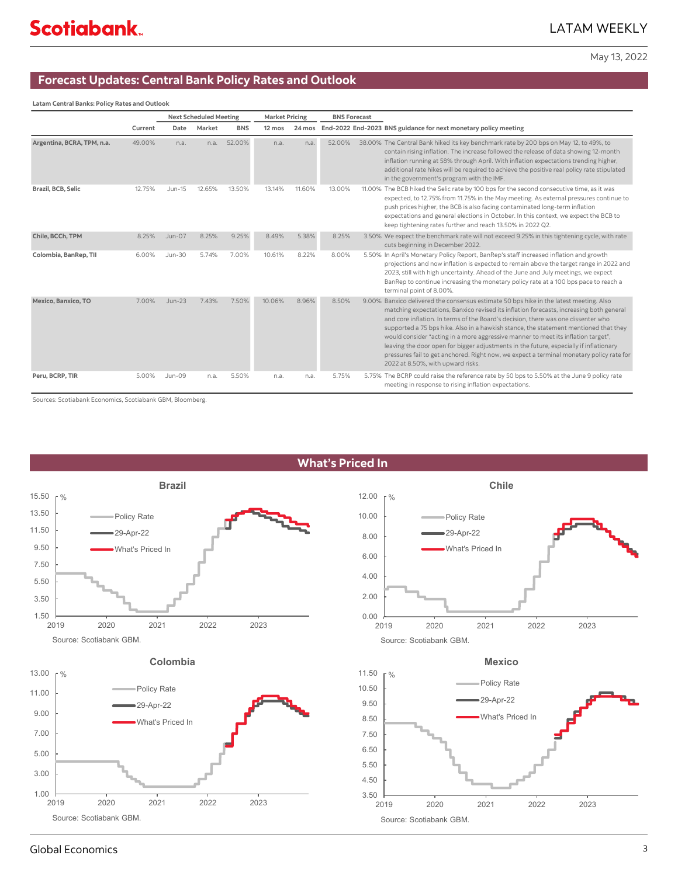## **Forecast Updates: Central Bank Policy Rates and Outlook**

**Latam Central Banks: Policy Rates and Outlook**

|                            |         |               | <b>Next Scheduled Meeting</b> |            | <b>Market Pricing</b> |        | <b>BNS Forecast</b> |                                                                                                                                                                                                                                                                                                                                                                                                                                                                                                                                                                                                                                                                                |
|----------------------------|---------|---------------|-------------------------------|------------|-----------------------|--------|---------------------|--------------------------------------------------------------------------------------------------------------------------------------------------------------------------------------------------------------------------------------------------------------------------------------------------------------------------------------------------------------------------------------------------------------------------------------------------------------------------------------------------------------------------------------------------------------------------------------------------------------------------------------------------------------------------------|
|                            | Current | Date          | Market                        | <b>BNS</b> | 12 mos                |        |                     | 24 mos End-2022 End-2023 BNS guidance for next monetary policy meeting                                                                                                                                                                                                                                                                                                                                                                                                                                                                                                                                                                                                         |
| Argentina, BCRA, TPM, n.a. | 49.00%  | n.a.          | n.a.                          | 52.00%     | n.a.                  | n.a.   | 52.00%              | 38.00% The Central Bank hiked its key benchmark rate by 200 bps on May 12, to 49%, to<br>contain rising inflation. The increase followed the release of data showing 12-month<br>inflation running at 58% through April. With inflation expectations trending higher,<br>additional rate hikes will be required to achieve the positive real policy rate stipulated<br>in the government's program with the IMF.                                                                                                                                                                                                                                                               |
| Brazil, BCB, Selic         | 12.75%  | Jun-15        | 12.65%                        | 13.50%     | 13.14%                | 11.60% | 13.00%              | 11.00% The BCB hiked the Selic rate by 100 bps for the second consecutive time, as it was<br>expected, to 12.75% from 11.75% in the May meeting. As external pressures continue to<br>push prices higher, the BCB is also facing contaminated long-term inflation<br>expectations and general elections in October. In this context, we expect the BCB to<br>keep tightening rates further and reach 13.50% in 2022 Q2.                                                                                                                                                                                                                                                        |
| Chile, BCCh, TPM           | 8.25%   | <b>Jun-07</b> | 8.25%                         | 9.25%      | 8.49%                 | 5.38%  | 8.25%               | 3.50% We expect the benchmark rate will not exceed 9.25% in this tightening cycle, with rate<br>cuts beginning in December 2022.                                                                                                                                                                                                                                                                                                                                                                                                                                                                                                                                               |
| Colombia, BanRep, Tll      | 6.00%   | <b>Jun-30</b> | 5.74%                         | 7.00%      | 10.61%                | 8.22%  | 8.00%               | 5.50% In April's Monetary Policy Report, BanRep's staff increased inflation and growth<br>projections and now inflation is expected to remain above the target range in 2022 and<br>2023, still with high uncertainty. Ahead of the June and July meetings, we expect<br>BanRep to continue increasing the monetary policy rate at a 100 bps pace to reach a<br>terminal point of 8.00%.                                                                                                                                                                                                                                                                                       |
| Mexico, Banxico, TO        | 7.00%   | $Jun-23$      | 7.43%                         | 7.50%      | 10.06%                | 8.96%  | 8.50%               | 9.00% Banxico delivered the consensus estimate 50 bps hike in the latest meeting. Also<br>matching expectations, Banxico revised its inflation forecasts, increasing both general<br>and core inflation. In terms of the Board's decision, there was one dissenter who<br>supported a 75 bps hike. Also in a hawkish stance, the statement mentioned that they<br>would consider "acting in a more aggressive manner to meet its inflation target".<br>leaving the door open for bigger adjustments in the future, especially if inflationary<br>pressures fail to get anchored. Right now, we expect a terminal monetary policy rate for<br>2022 at 8.50%, with upward risks. |
| Peru, BCRP, TIR            | 5.00%   | Jun-09        | n.a.                          | 5.50%      | n.a.                  | n.a.   | 5.75%               | 5.75% The BCRP could raise the reference rate by 50 bps to 5.50% at the June 9 policy rate<br>meeting in response to rising inflation expectations.                                                                                                                                                                                                                                                                                                                                                                                                                                                                                                                            |

Sources: Scotiabank Economics, Scotiabank GBM, Bloomberg.



## Global Economics 3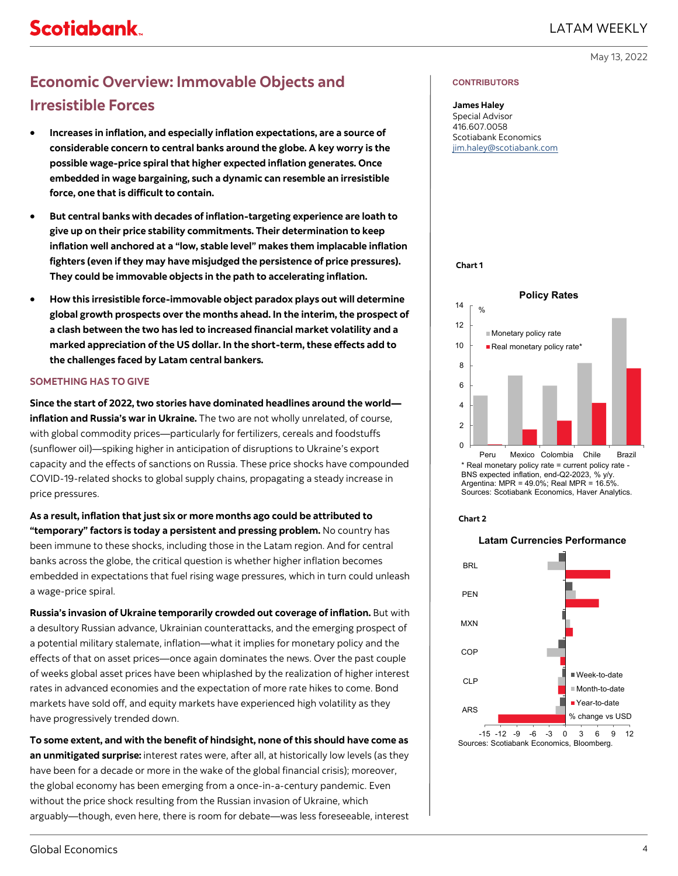# <span id="page-3-0"></span>**Economic Overview: Immovable Objects and Irresistible Forces**

- **Increases in inflation, and especially inflation expectations, are a source of considerable concern to central banks around the globe. A key worry is the possible wage-price spiral that higher expected inflation generates. Once embedded in wage bargaining, such a dynamic can resemble an irresistible force, one that is difficult to contain.**
- **But central banks with decades of inflation-targeting experience are loath to give up on their price stability commitments. Their determination to keep inflation well anchored at a "low, stable level" makes them implacable inflation fighters (even if they may have misjudged the persistence of price pressures). They could be immovable objects in the path to accelerating inflation.**
- **How this irresistible force-immovable object paradox plays out will determine global growth prospects over the months ahead. In the interim, the prospect of a clash between the two has led to increased financial market volatility and a marked appreciation of the US dollar. In the short-term, these effects add to the challenges faced by Latam central bankers.**

#### **SOMETHING HAS TO GIVE**

**Since the start of 2022, two stories have dominated headlines around the world inflation and Russia's war in Ukraine.** The two are not wholly unrelated, of course, with global commodity prices—particularly for fertilizers, cereals and foodstuffs (sunflower oil)—spiking higher in anticipation of disruptions to Ukraine's export capacity and the effects of sanctions on Russia. These price shocks have compounded COVID-19-related shocks to global supply chains, propagating a steady increase in price pressures.

**As a result, inflation that just six or more months ago could be attributed to "temporary" factors is today a persistent and pressing problem.** No country has been immune to these shocks, including those in the Latam region. And for central banks across the globe, the critical question is whether higher inflation becomes embedded in expectations that fuel rising wage pressures, which in turn could unleash a wage-price spiral.

**Russia's invasion of Ukraine temporarily crowded out coverage of inflation.** But with a desultory Russian advance, Ukrainian counterattacks, and the emerging prospect of a potential military stalemate, inflation—what it implies for monetary policy and the effects of that on asset prices—once again dominates the news. Over the past couple of weeks global asset prices have been whiplashed by the realization of higher interest rates in advanced economies and the expectation of more rate hikes to come. Bond markets have sold off, and equity markets have experienced high volatility as they have progressively trended down.

**To some extent, and with the benefit of hindsight, none of this should have come as an unmitigated surprise:** interest rates were, after all, at historically low levels (as they have been for a decade or more in the wake of the global financial crisis); moreover, the global economy has been emerging from a once-in-a-century pandemic. Even without the price shock resulting from the Russian invasion of Ukraine, which arguably—though, even here, there is room for debate—was less foreseeable, interest

#### **CONTRIBUTORS**

#### **James Haley**

Special Advisor 416.607.0058 Scotiabank Economics [jim.haley@scotiabank.com](mailto:jim.haley@scotiabank.com)

**Chart 1**



Argentina: MPR = 49.0%; Real MPR = 16.5%. Sources: Scotiabank Economics, Haver Analytics.



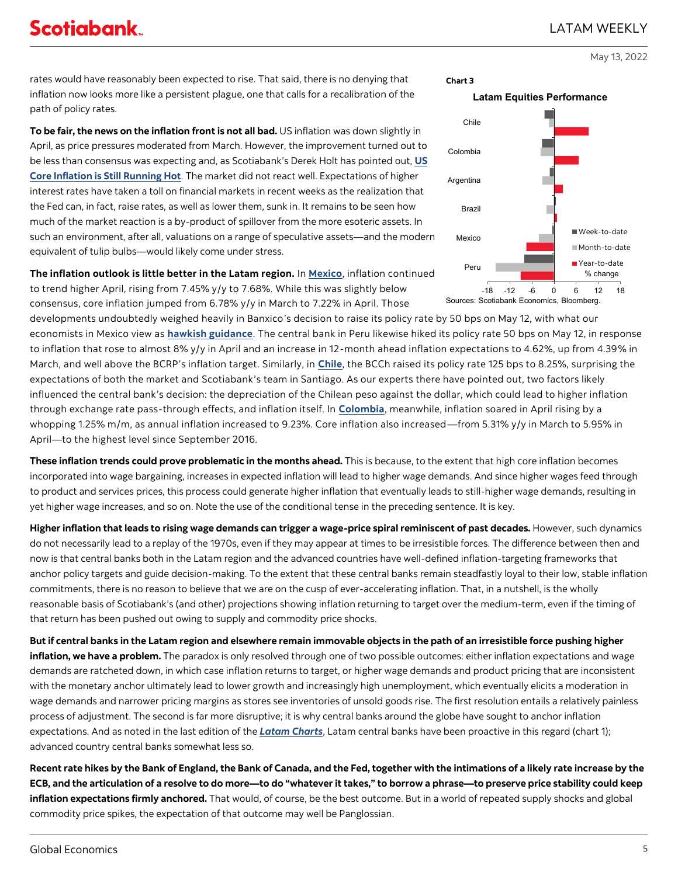**To be fair, the news on the inflation front is not all bad.** US inflation was down slightly in April, as price pressures moderated from March. However, the improvement turned out to be less than consensus was expecting and, as Scotiabank's Derek Holt has pointed out, **[US](https://www.scotiabank.com/ca/en/about/economics/economics-publications/post.other-publications.economic-indicators.scotia-flash.-may-11--2022-.html)  [Core Inflation is Still Running Hot](https://www.scotiabank.com/ca/en/about/economics/economics-publications/post.other-publications.economic-indicators.scotia-flash.-may-11--2022-.html)**. The market did not react well. Expectations of higher interest rates have taken a toll on financial markets in recent weeks as the realization that the Fed can, in fact, raise rates, as well as lower them, sunk in. It remains to be seen how much of the market reaction is a by-product of spillover from the more esoteric assets. In such an environment, after all, valuations on a range of speculative assets—and the modern equivalent of tulip bulbs—would likely come under stress.

**The inflation outlook is little better in the Latam region.** In **[Mexico](https://www.scotiabank.com/ca/en/about/economics/economics-publications/post.daily-publications.latam-daily.latam-daily.2022-issues.-may-10-2022-.html)**, inflation continued to trend higher April, rising from 7.45% y/y to 7.68%. While this was slightly below consensus, core inflation jumped from 6.78% y/y in March to 7.22% in April. Those

developments undoubtedly weighed heavily in Banxico's decision to raise its policy rate by 50 bps on May 12, with what our economists in Mexico view as **[hawkish guidance](https://www.scotiabank.com/ca/en/about/economics/economics-publications/post.daily-publications.latam-daily.latam-daily.2022-issues.-may-13-2022-.html)**. The central bank in Peru likewise hiked its policy rate 50 bps on May 12, in response to inflation that rose to almost 8% y/y in April and an increase in 12-month ahead inflation expectations to 4.62%, up from 4.39% in March, and well above the BCRP's inflation target. Similarly, in **[Chile](https://www.scotiabank.com/ca/en/about/economics/economics-publications/post.daily-publications.latam-daily.latam-daily.2022-issues.-may-6-2022-.html)**, the BCCh raised its policy rate 125 bps to 8.25%, surprising the expectations of both the market and Scotiabank's team in Santiago. As our experts there have pointed out, two factors likely influenced the central bank's decision: the depreciation of the Chilean peso against the dollar, which could lead to higher inflation through exchange rate pass-through effects, and inflation itself. In **[Colombia](https://www.scotiabank.com/ca/en/about/economics/economics-publications/post.daily-publications.latam-daily.latam-daily.2022-issues.-may-6-2022-.html)**, meanwhile, inflation soared in April rising by a whopping 1.25% m/m, as annual inflation increased to 9.23%. Core inflation also increased—from 5.31% y/y in March to 5.95% in April—to the highest level since September 2016.

**These inflation trends could prove problematic in the months ahead.** This is because, to the extent that high core inflation becomes incorporated into wage bargaining, increases in expected inflation will lead to higher wage demands. And since higher wages feed through to product and services prices, this process could generate higher inflation that eventually leads to still-higher wage demands, resulting in yet higher wage increases, and so on. Note the use of the conditional tense in the preceding sentence. It is key.

**Higher inflation that leads to rising wage demands can trigger a wage-price spiral reminiscent of past decades.** However, such dynamics do not necessarily lead to a replay of the 1970s, even if they may appear at times to be irresistible forces. The difference between then and now is that central banks both in the Latam region and the advanced countries have well-defined inflation-targeting frameworks that anchor policy targets and guide decision-making. To the extent that these central banks remain steadfastly loyal to their low, stable inflation commitments, there is no reason to believe that we are on the cusp of ever-accelerating inflation. That, in a nutshell, is the wholly reasonable basis of Scotiabank's (and other) projections showing inflation returning to target over the medium-term, even if the timing of that return has been pushed out owing to supply and commodity price shocks.

**But if central banks in the Latam region and elsewhere remain immovable objects in the path of an irresistible force pushing higher inflation, we have a problem.** The paradox is only resolved through one of two possible outcomes: either inflation expectations and wage demands are ratcheted down, in which case inflation returns to target, or higher wage demands and product pricing that are inconsistent with the monetary anchor ultimately lead to lower growth and increasingly high unemployment, which eventually elicits a moderation in wage demands and narrower pricing margins as stores see inventories of unsold goods rise. The first resolution entails a relatively painless process of adjustment. The second is far more disruptive; it is why central banks around the globe have sought to anchor inflation expectations. And as noted in the last edition of the *[Latam Charts](https://www.scotiabank.com/ca/en/about/economics/economics-publications/post.other-publications.latam-charts-weekly.latam-charts-weekly--may-5--2022-.html)*, Latam central banks have been proactive in this regard (chart 1); advanced country central banks somewhat less so.

**Recent rate hikes by the Bank of England, the Bank of Canada, and the Fed, together with the intimations of a likely rate increase by the ECB, and the articulation of a resolve to do more—to do "whatever it takes," to borrow a phrase—to preserve price stability could keep inflation expectations firmly anchored.** That would, of course, be the best outcome. But in a world of repeated supply shocks and global commodity price spikes, the expectation of that outcome may well be Panglossian.



-18 -12 -6 0 6 12 18

Sources: Scotiabank Economics, Bloomberg.

Peru

■ Year-to-date

% change

May 13, 2022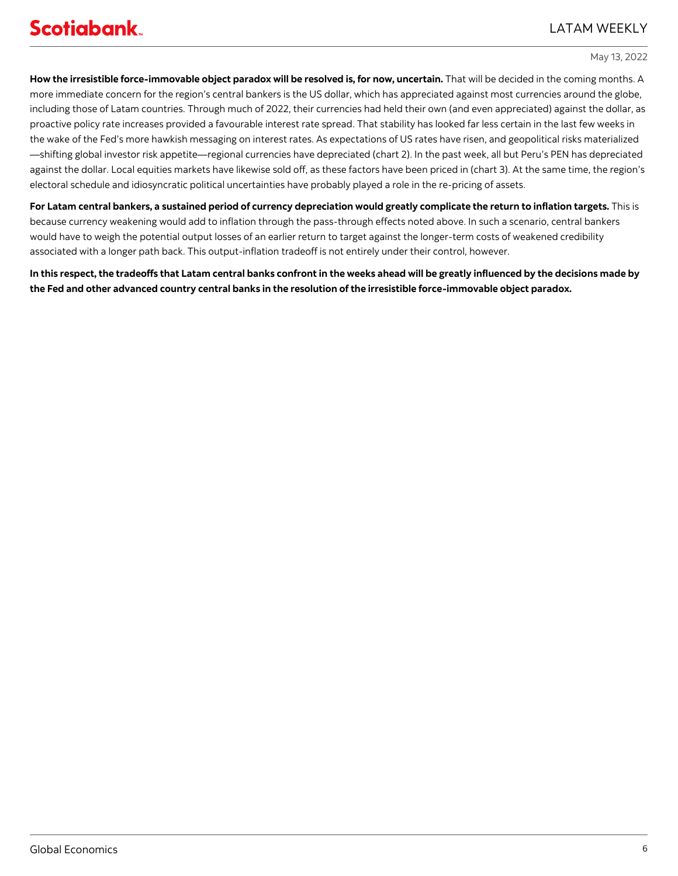**How the irresistible force-immovable object paradox will be resolved is, for now, uncertain.** That will be decided in the coming months. A more immediate concern for the region's central bankers is the US dollar, which has appreciated against most currencies around the globe, including those of Latam countries. Through much of 2022, their currencies had held their own (and even appreciated) against the dollar, as proactive policy rate increases provided a favourable interest rate spread. That stability has looked far less certain in the last few weeks in the wake of the Fed's more hawkish messaging on interest rates. As expectations of US rates have risen, and geopolitical risks materialized —shifting global investor risk appetite—regional currencies have depreciated (chart 2). In the past week, all but Peru's PEN has depreciated against the dollar. Local equities markets have likewise sold off, as these factors have been priced in (chart 3). At the same time, the region's electoral schedule and idiosyncratic political uncertainties have probably played a role in the re-pricing of assets.

**For Latam central bankers, a sustained period of currency depreciation would greatly complicate the return to inflation targets.** This is because currency weakening would add to inflation through the pass-through effects noted above. In such a scenario, central bankers would have to weigh the potential output losses of an earlier return to target against the longer-term costs of weakened credibility associated with a longer path back. This output-inflation tradeoff is not entirely under their control, however.

**In this respect, the tradeoffs that Latam central banks confront in the weeks ahead will be greatly influenced by the decisions made by the Fed and other advanced country central banks in the resolution of the irresistible force-immovable object paradox.**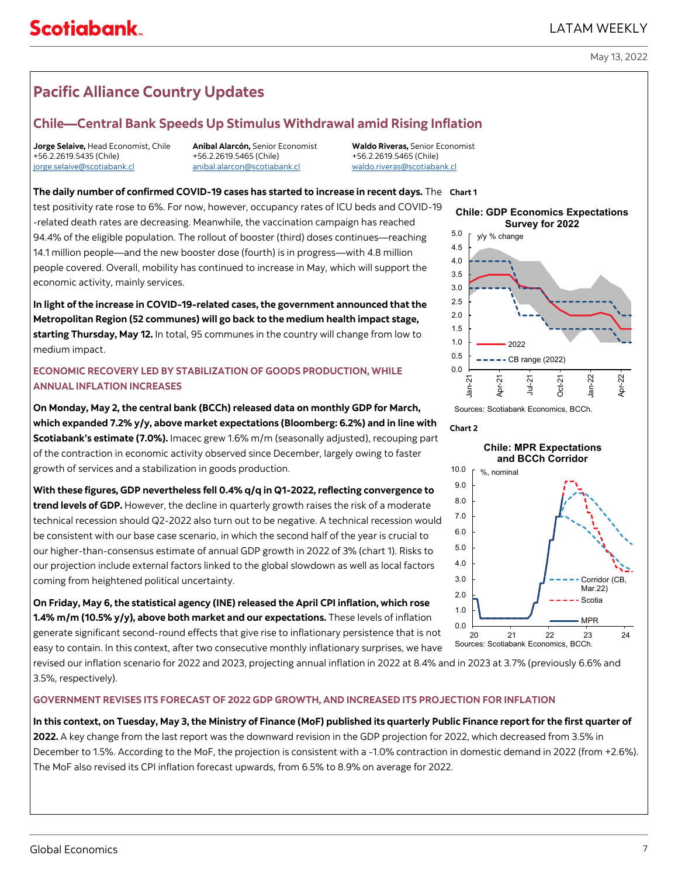## LATAM WEEKLY

### May 13, 2022

# <span id="page-6-0"></span>**Pacific Alliance Country Updates**

## **Chile—Central Bank Speeds Up Stimulus Withdrawal amid Rising Inflation**

**Jorge Selaive,** Head Economist, Chile **Anibal Alarcón,** Senior Economist **Waldo Riveras,** Senior Economist +56.2.2619.5435 (Chile) [jorge.selaive@scotiabank.cl](mailto:jorge.selaive@scotiabank.cl) [anibal.alarcon@scotiabank.cl](mailto:anibal.alarcon@scotiabank.cl) [waldo.riveras@scotiabank.cl](mailto:waldo.riveras@scotiabank.cl)

**The daily number of confirmed COVID-19 cases has started to increase in recent days.** The **Chart 1**

test positivity rate rose to 6%. For now, however, occupancy rates of ICU beds and COVID-19 -related death rates are decreasing. Meanwhile, the vaccination campaign has reached 94.4% of the eligible population. The rollout of booster (third) doses continues—reaching 14.1 million people—and the new booster dose (fourth) is in progress—with 4.8 million people covered. Overall, mobility has continued to increase in May, which will support the economic activity, mainly services.

**In light of the increase in COVID-19-related cases, the government announced that the Metropolitan Region (52 communes) will go back to the medium health impact stage, starting Thursday, May 12.** In total, 95 communes in the country will change from low to medium impact.

## **ECONOMIC RECOVERY LED BY STABILIZATION OF GOODS PRODUCTION, WHILE ANNUAL INFLATION INCREASES**

**On Monday, May 2, the central bank (BCCh) released data on monthly GDP for March, which expanded 7.2% y/y, above market expectations (Bloomberg: 6.2%) and in line with Scotiabank's estimate (7.0%).** Imacec grew 1.6% m/m (seasonally adjusted), recouping part of the contraction in economic activity observed since December, largely owing to faster growth of services and a stabilization in goods production.

**With these figures, GDP nevertheless fell 0.4% q/q in Q1-2022, reflecting convergence to trend levels of GDP.** However, the decline in quarterly growth raises the risk of a moderate technical recession should Q2-2022 also turn out to be negative. A technical recession would be consistent with our base case scenario, in which the second half of the year is crucial to our higher-than-consensus estimate of annual GDP growth in 2022 of 3% (chart 1). Risks to our projection include external factors linked to the global slowdown as well as local factors coming from heightened political uncertainty.

**On Friday, May 6, the statistical agency (INE) released the April CPI inflation, which rose 1.4% m/m (10.5% y/y), above both market and our expectations.** These levels of inflation generate significant second-round effects that give rise to inflationary persistence that is not easy to contain. In this context, after two consecutive monthly inflationary surprises, we have

revised our inflation scenario for 2022 and 2023, projecting annual inflation in 2022 at 8.4% and in 2023 at 3.7% (previously 6.6% and 3.5%, respectively).

## **GOVERNMENT REVISES ITS FORECAST OF 2022 GDP GROWTH, AND INCREASED ITS PROJECTION FOR INFLATION**

**In this context, on Tuesday, May 3, the Ministry of Finance (MoF) published its quarterly Public Finance report for the first quarter of 2022.** A key change from the last report was the downward revision in the GDP projection for 2022, which decreased from 3.5% in December to 1.5%. According to the MoF, the projection is consistent with a -1.0% contraction in domestic demand in 2022 (from +2.6%). The MoF also revised its CPI inflation forecast upwards, from 6.5% to 8.9% on average for 2022.



Sources: Scotiabank Economics, BCCh.

#### **Chart 2**

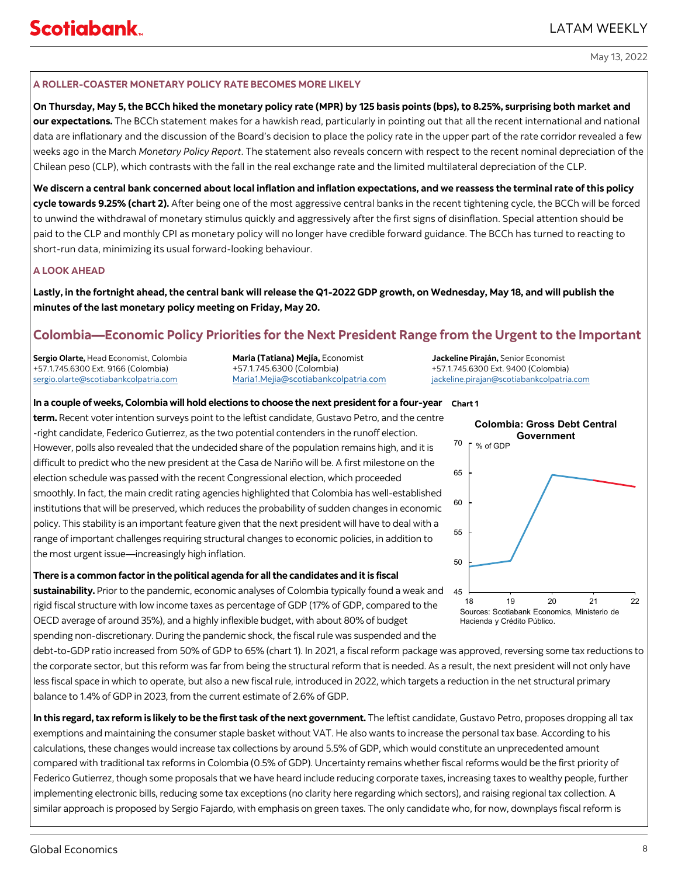## **A ROLLER-COASTER MONETARY POLICY RATE BECOMES MORE LIKELY**

**On Thursday, May 5, the BCCh hiked the monetary policy rate (MPR) by 125 basis points (bps), to 8.25%, surprising both market and our expectations.** The BCCh statement makes for a hawkish read, particularly in pointing out that all the recent international and national data are inflationary and the discussion of the Board's decision to place the policy rate in the upper part of the rate corridor revealed a few weeks ago in the March *Monetary Policy Report*. The statement also reveals concern with respect to the recent nominal depreciation of the Chilean peso (CLP), which contrasts with the fall in the real exchange rate and the limited multilateral depreciation of the CLP.

**We discern a central bank concerned about local inflation and inflation expectations, and we reassess the terminal rate of this policy cycle towards 9.25% (chart 2).** After being one of the most aggressive central banks in the recent tightening cycle, the BCCh will be forced to unwind the withdrawal of monetary stimulus quickly and aggressively after the first signs of disinflation. Special attention should be paid to the CLP and monthly CPI as monetary policy will no longer have credible forward guidance. The BCCh has turned to reacting to short-run data, minimizing its usual forward-looking behaviour.

## **A LOOK AHEAD**

**Lastly, in the fortnight ahead, the central bank will release the Q1-2022 GDP growth, on Wednesday, May 18, and will publish the minutes of the last monetary policy meeting on Friday, May 20.**

# **Colombia—Economic Policy Priorities for the Next President Range from the Urgent to the Important**

**Sergio Olarte,** Head Economist, Colombia **Maria (Tatiana) Mejía,** Economist **Jackeline Piraján,** Senior Economist +57.1.745.6300 Ext. 9166 (Colombia) +57.1.745.6300 (Colombia) +57.1.745.6300 Ext. 9400 (Colombia)

[sergio.olarte@scotiabankcolpatria.com](mailto:sergio.olarte@scotiabankcolpatria.com) [Maria1.Mejia@scotiabankcolpatria.com](mailto:Maria1.Mejia@scotiabankcolpatria.com) [jackeline.pirajan@scotiabankcolpatria.com](mailto:jackeline.pirajan@scotiabankcolpatria.com)

**In a couple of weeks, Colombia will hold elections to choose the next president for a four-year Chart 1 term.** Recent voter intention surveys point to the leftist candidate, Gustavo Petro, and the centre -right candidate, Federico Gutierrez, as the two potential contenders in the runoff election. However, polls also revealed that the undecided share of the population remains high, and it is difficult to predict who the new president at the Casa de Nariño will be. A first milestone on the election schedule was passed with the recent Congressional election, which proceeded smoothly. In fact, the main credit rating agencies highlighted that Colombia has well-established institutions that will be preserved, which reduces the probability of sudden changes in economic policy. This stability is an important feature given that the next president will have to deal with a range of important challenges requiring structural changes to economic policies, in addition to the most urgent issue—increasingly high inflation.

**There is a common factor in the political agenda for all the candidates and it is fiscal** 

**sustainability.** Prior to the pandemic, economic analyses of Colombia typically found a weak and rigid fiscal structure with low income taxes as percentage of GDP (17% of GDP, compared to the OECD average of around 35%), and a highly inflexible budget, with about 80% of budget spending non-discretionary. During the pandemic shock, the fiscal rule was suspended and the

debt-to-GDP ratio increased from 50% of GDP to 65% (chart 1). In 2021, a fiscal reform package was approved, reversing some tax reductions to the corporate sector, but this reform was far from being the structural reform that is needed. As a result, the next president will not only have less fiscal space in which to operate, but also a new fiscal rule, introduced in 2022, which targets a reduction in the net structural primary balance to 1.4% of GDP in 2023, from the current estimate of 2.6% of GDP.

In this regard, tax reform is likely to be the first task of the next government. The leftist candidate, Gustavo Petro, proposes dropping all tax exemptions and maintaining the consumer staple basket without VAT. He also wants to increase the personal tax base. According to his calculations, these changes would increase tax collections by around 5.5% of GDP, which would constitute an unprecedented amount compared with traditional tax reforms in Colombia (0.5% of GDP). Uncertainty remains whether fiscal reforms would be the first priority of Federico Gutierrez, though some proposals that we have heard include reducing corporate taxes, increasing taxes to wealthy people, further implementing electronic bills, reducing some tax exceptions (no clarity here regarding which sectors), and raising regional tax collection. A similar approach is proposed by Sergio Fajardo, with emphasis on green taxes. The only candidate who, for now, downplays fiscal reform is

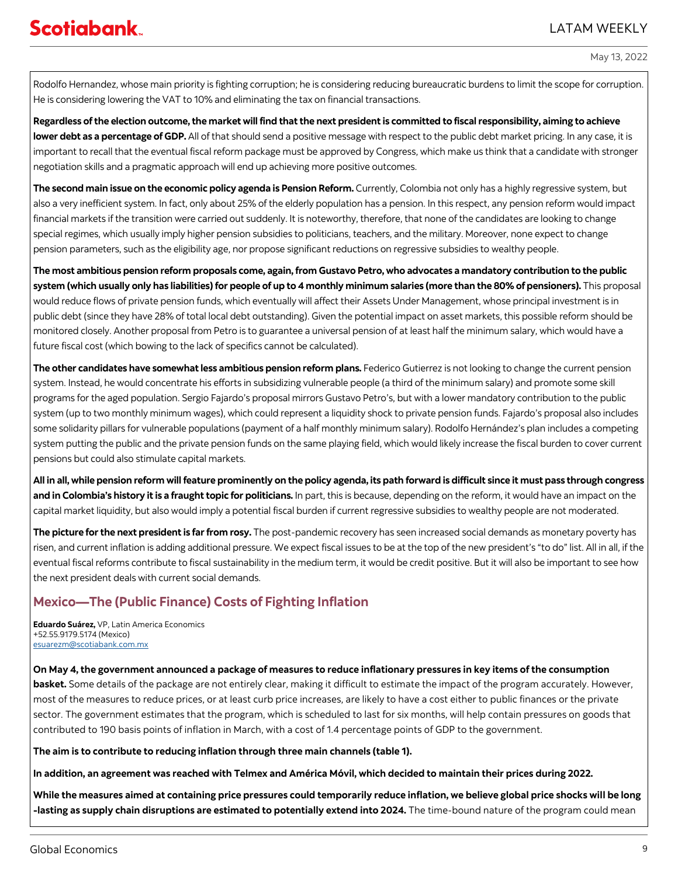Rodolfo Hernandez, whose main priority is fighting corruption; he is considering reducing bureaucratic burdens to limit the scope for corruption. He is considering lowering the VAT to 10% and eliminating the tax on financial transactions.

**Regardless of the election outcome, the market will find that the next president is committed to fiscal responsibility, aiming to achieve lower debt as a percentage of GDP.** All of that should send a positive message with respect to the public debt market pricing. In any case, it is important to recall that the eventual fiscal reform package must be approved by Congress, which make us think that a candidate with stronger negotiation skills and a pragmatic approach will end up achieving more positive outcomes.

**The second main issue on the economic policy agenda is Pension Reform.** Currently, Colombia not only has a highly regressive system, but also a very inefficient system. In fact, only about 25% of the elderly population has a pension. In this respect, any pension reform would impact financial markets if the transition were carried out suddenly. It is noteworthy, therefore, that none of the candidates are looking to change special regimes, which usually imply higher pension subsidies to politicians, teachers, and the military. Moreover, none expect to change pension parameters, such as the eligibility age, nor propose significant reductions on regressive subsidies to wealthy people.

**The most ambitious pension reform proposals come, again, from Gustavo Petro, who advocates a mandatory contribution to the public system (which usually only has liabilities) for people of up to 4 monthly minimum salaries (more than the 80% of pensioners).** This proposal would reduce flows of private pension funds, which eventually will affect their Assets Under Management, whose principal investment is in public debt (since they have 28% of total local debt outstanding). Given the potential impact on asset markets, this possible reform should be monitored closely. Another proposal from Petro is to guarantee a universal pension of at least half the minimum salary, which would have a future fiscal cost (which bowing to the lack of specifics cannot be calculated).

**The other candidates have somewhat less ambitious pension reform plans.** Federico Gutierrez is not looking to change the current pension system. Instead, he would concentrate his efforts in subsidizing vulnerable people (a third of the minimum salary) and promote some skill programs for the aged population. Sergio Fajardo's proposal mirrors Gustavo Petro's, but with a lower mandatory contribution to the public system (up to two monthly minimum wages), which could represent a liquidity shock to private pension funds. Fajardo's proposal also includes some solidarity pillars for vulnerable populations (payment of a half monthly minimum salary). Rodolfo Hernández's plan includes a competing system putting the public and the private pension funds on the same playing field, which would likely increase the fiscal burden to cover current pensions but could also stimulate capital markets.

**All in all, while pension reform will feature prominently on the policy agenda, its path forward is difficult since it must pass through congress and in Colombia's history it is a fraught topic for politicians.** In part, this is because, depending on the reform, it would have an impact on the capital market liquidity, but also would imply a potential fiscal burden if current regressive subsidies to wealthy people are not moderated.

**The picture for the next president is far from rosy.** The post-pandemic recovery has seen increased social demands as monetary poverty has risen, and current inflation is adding additional pressure. We expect fiscal issues to be at the top of the new president's "to do" list. All in all, if the eventual fiscal reforms contribute to fiscal sustainability in the medium term, it would be credit positive. But it will also be important to see how the next president deals with current social demands.

# **Mexico—The (Public Finance) Costs of Fighting Inflation**

**Eduardo Suárez,** VP, Latin America Economics +52.55.9179.5174 (Mexico) [esuarezm@scotiabank.com.mx](mailto:esuarezm@scotiabank.com.mx)

## **On May 4, the government announced a package of measures to reduce inflationary pressures in key items of the consumption**

**basket.** Some details of the package are not entirely clear, making it difficult to estimate the impact of the program accurately. However, most of the measures to reduce prices, or at least curb price increases, are likely to have a cost either to public finances or the private sector. The government estimates that the program, which is scheduled to last for six months, will help contain pressures on goods that contributed to 190 basis points of inflation in March, with a cost of 1.4 percentage points of GDP to the government.

**The aim is to contribute to reducing inflation through three main channels (table 1).**

**In addition, an agreement was reached with Telmex and América Móvil, which decided to maintain their prices during 2022.** 

**While the measures aimed at containing price pressures could temporarily reduce inflation, we believe global price shocks will be long -lasting as supply chain disruptions are estimated to potentially extend into 2024.** The time-bound nature of the program could mean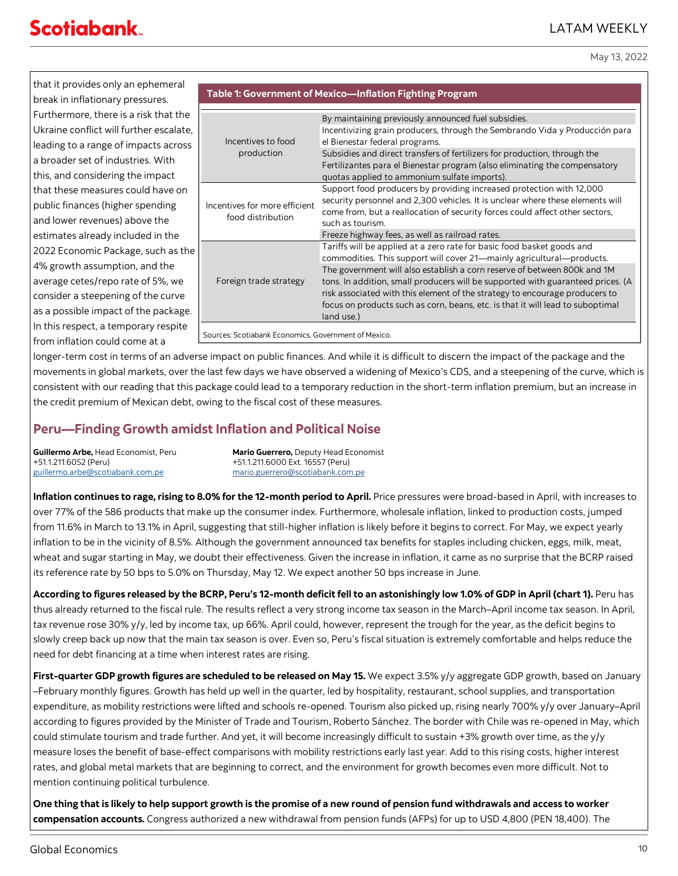May 13, 2022

that it provides only an ephemeral break in inflationary pressures. Furthermore, there is a risk that the Ukraine conflict will further escalate, leading to a range of impacts across a broader set of industries. With this, and considering the impact that these measures could have on public finances (higher spending and lower revenues) above the estimates already included in the 2022 Economic Package, such as the 4% growth assumption, and the average cetes/repo rate of 5%, we consider a steepening of the curve as a possible impact of the package. In this respect, a temporary respite from inflation could come at a

|                                                      | Table 1: Government of Mexico-Inflation Fighting Program                                                                                                                                                                                                                                                                                                                                                                                                                                                                                         |
|------------------------------------------------------|--------------------------------------------------------------------------------------------------------------------------------------------------------------------------------------------------------------------------------------------------------------------------------------------------------------------------------------------------------------------------------------------------------------------------------------------------------------------------------------------------------------------------------------------------|
| Incentives to food<br>production                     | By maintaining previously announced fuel subsidies.<br>Incentivizing grain producers, through the Sembrando Vida y Producción para<br>el Bienestar federal programs.<br>Subsidies and direct transfers of fertilizers for production, through the<br>Fertilizantes para el Bienestar program (also eliminating the compensatory<br>quotas applied to ammonium sulfate imports).                                                                                                                                                                  |
| Incentives for more efficient<br>food distribution   | Support food producers by providing increased protection with 12,000<br>security personnel and 2,300 vehicles. It is unclear where these elements will<br>come from, but a reallocation of security forces could affect other sectors,<br>such as tourism.                                                                                                                                                                                                                                                                                       |
| Foreign trade strategy                               | Freeze highway fees, as well as railroad rates.<br>Tariffs will be applied at a zero rate for basic food basket goods and<br>commodities. This support will cover 21—mainly agricultural—products.<br>The government will also establish a corn reserve of between 800k and 1M<br>tons. In addition, small producers will be supported with guaranteed prices. (A<br>risk associated with this element of the strategy to encourage producers to<br>focus on products such as corn, beans, etc. is that it will lead to suboptimal<br>land use.) |
| Sources: Scotiabank Economics, Government of Mexico. |                                                                                                                                                                                                                                                                                                                                                                                                                                                                                                                                                  |

longer-term cost in terms of an adverse impact on public finances. And while it is difficult to discern the impact of the package and the movements in global markets, over the last few days we have observed a widening of Mexico's CDS, and a steepening of the curve, which is consistent with our reading that this package could lead to a temporary reduction in the short-term inflation premium, but an increase in the credit premium of Mexican debt, owing to the fiscal cost of these measures.

# **Peru—Finding Growth amidst Inflation and Political Noise**

[guillermo.arbe@scotiabank.com.pe](mailto:guillermo.arbe@scotiabank.com.pe) [mario.guerrero@scotiabank.com.pe](mailto:mario.guerrero@scotiabank.com.pe)

**Guillermo Arbe,** Head Economist, Peru **Mario Guerrero,** Deputy Head Economist<br>+51.1.211.6052 (Peru) +51.1.211.6000 Ext. 16557 (Peru) +51.1.211.6052 (Peru) +51.1.211.6000 Ext. 16557 (Peru)

**Inflation continues to rage, rising to 8.0% for the 12-month period to April.** Price pressures were broad-based in April, with increases to over 77% of the 586 products that make up the consumer index. Furthermore, wholesale inflation, linked to production costs, jumped from 11.6% in March to 13.1% in April, suggesting that still-higher inflation is likely before it begins to correct. For May, we expect yearly inflation to be in the vicinity of 8.5%. Although the government announced tax benefits for staples including chicken, eggs, milk, meat, wheat and sugar starting in May, we doubt their effectiveness. Given the increase in inflation, it came as no surprise that the BCRP raised its reference rate by 50 bps to 5.0% on Thursday, May 12. We expect another 50 bps increase in June.

**According to figures released by the BCRP, Peru's 12-month deficit fell to an astonishingly low 1.0% of GDP in April (chart 1).** Peru has thus already returned to the fiscal rule. The results reflect a very strong income tax season in the March–April income tax season. In April, tax revenue rose 30% y/y, led by income tax, up 66%. April could, however, represent the trough for the year, as the deficit begins to slowly creep back up now that the main tax season is over. Even so, Peru's fiscal situation is extremely comfortable and helps reduce the need for debt financing at a time when interest rates are rising.

**First-quarter GDP growth figures are scheduled to be released on May 15.** We expect 3.5% y/y aggregate GDP growth, based on January –February monthly figures. Growth has held up well in the quarter, led by hospitality, restaurant, school supplies, and transportation expenditure, as mobility restrictions were lifted and schools re-opened. Tourism also picked up, rising nearly 700% y/y over January–April according to figures provided by the Minister of Trade and Tourism, Roberto Sánchez. The border with Chile was re-opened in May, which could stimulate tourism and trade further. And yet, it will become increasingly difficult to sustain +3% growth over time, as the y/y measure loses the benefit of base-effect comparisons with mobility restrictions early last year. Add to this rising costs, higher interest rates, and global metal markets that are beginning to correct, and the environment for growth becomes even more difficult. Not to mention continuing political turbulence.

**One thing that is likely to help support growth is the promise of a new round of pension fund withdrawals and access to worker compensation accounts.** Congress authorized a new withdrawal from pension funds (AFPs) for up to USD 4,800 (PEN 18,400). The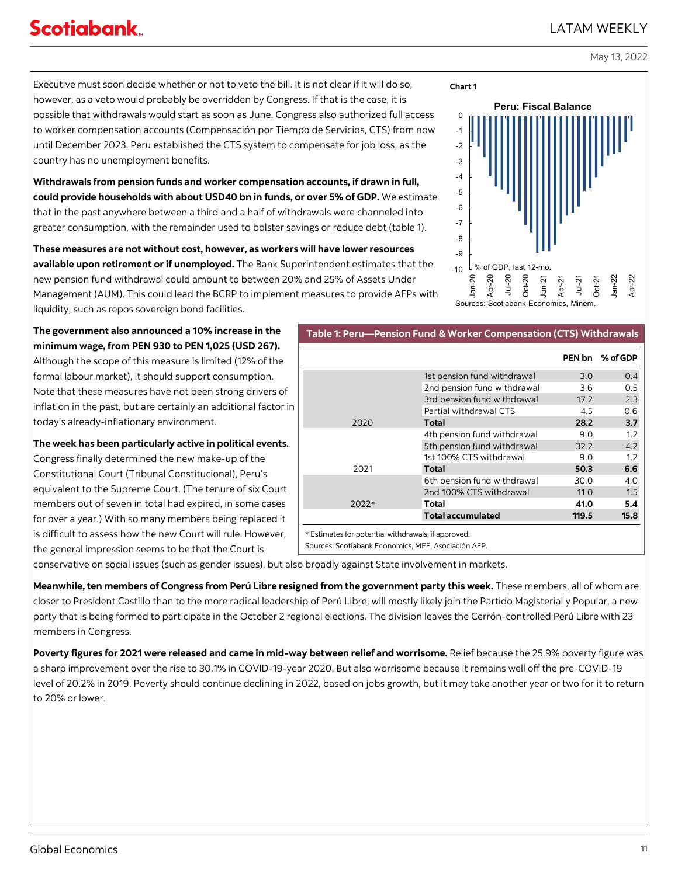## Executive must soon decide whether or not to veto the bill. It is not clear if it will do so, however, as a veto would probably be overridden by Congress. If that is the case, it is possible that withdrawals would start as soon as June. Congress also authorized full access to worker compensation accounts (Compensación por Tiempo de Servicios, CTS) from now until December 2023. Peru established the CTS system to compensate for job loss, as the country has no unemployment benefits.

**Withdrawals from pension funds and worker compensation accounts, if drawn in full, could provide households with about USD40 bn in funds, or over 5% of GDP.** We estimate that in the past anywhere between a third and a half of withdrawals were channeled into greater consumption, with the remainder used to bolster savings or reduce debt (table 1).

**These measures are not without cost, however, as workers will have lower resources available upon retirement or if unemployed.** The Bank Superintendent estimates that the new pension fund withdrawal could amount to between 20% and 25% of Assets Under Management (AUM). This could lead the BCRP to implement measures to provide AFPs with liquidity, such as repos sovereign bond facilities.

**The government also announced a 10% increase in the minimum wage, from PEN 930 to PEN 1,025 (USD 267).**  Although the scope of this measure is limited (12% of the formal labour market), it should support consumption. Note that these measures have not been strong drivers of inflation in the past, but are certainly an additional factor in today's already-inflationary environment.

**The week has been particularly active in political events.**  Congress finally determined the new make-up of the

Constitutional Court (Tribunal Constitucional), Peru's equivalent to the Supreme Court. (The tenure of six Court members out of seven in total had expired, in some cases for over a year.) With so many members being replaced it is difficult to assess how the new Court will rule. However, the general impression seems to be that the Court is

conservative on social issues (such as gender issues), but also broadly against State involvement in markets.

**Meanwhile, ten members of Congress from Perú Libre resigned from the government party this week.** These members, all of whom are closer to President Castillo than to the more radical leadership of Perú Libre, will mostly likely join the Partido Magisterial y Popular, a new party that is being formed to participate in the October 2 regional elections. The division leaves the Cerrón-controlled Perú Libre with 23 members in Congress.

**Poverty figures for 2021 were released and came in mid-way between relief and worrisome.** Relief because the 25.9% poverty figure was a sharp improvement over the rise to 30.1% in COVID-19-year 2020. But also worrisome because it remains well off the pre-COVID-19 level of 20.2% in 2019. Poverty should continue declining in 2022, based on jobs growth, but it may take another year or two for it to return to 20% or lower.

# LATAM WEEKLY

May 13, 2022



|                                                     |                             | PEN bn | % of GDP |
|-----------------------------------------------------|-----------------------------|--------|----------|
|                                                     | 1st pension fund withdrawal | 3.0    | 0.4      |
|                                                     | 2nd pension fund withdrawal | 3.6    | 0.5      |
|                                                     | 3rd pension fund withdrawal | 17.2   | 2.3      |
|                                                     | Partial withdrawal CTS      | 4.5    | 0.6      |
| 2020                                                | Total                       | 28.2   | 3.7      |
|                                                     | 4th pension fund withdrawal | 9.0    | 1.2      |
|                                                     | 5th pension fund withdrawal | 32.2   | 4.2      |
|                                                     | 1st 100% CTS withdrawal     | 9.0    | 1.2      |
| 2021                                                | Total                       | 50.3   | 6.6      |
|                                                     | 6th pension fund withdrawal | 30.0   | 4.0      |
|                                                     | 2nd 100% CTS withdrawal     | 11.0   | 1.5      |
| 2022*                                               | Total                       | 41.0   | 5.4      |
|                                                     | <b>Total accumulated</b>    | 119.5  | 15.8     |
| * Estimates for potential withdrawals, if approved. |                             |        |          |
| Sources: Scotiabank Economics, MEF, Asociación AFP. |                             |        |          |

**Table 1: Peru—Pension Fund & Worker Compensation (CTS) Withdrawals**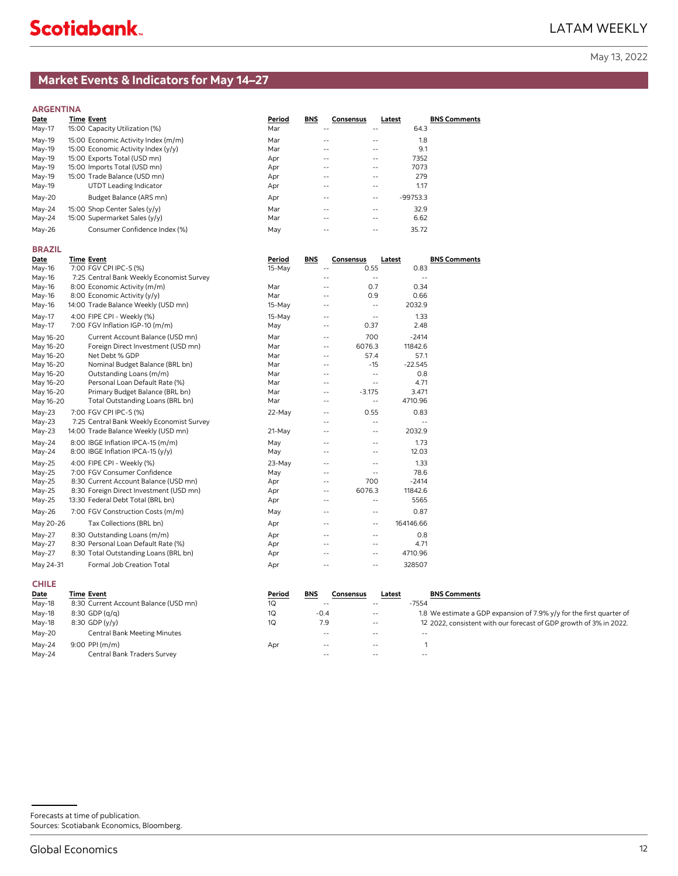## <span id="page-11-0"></span>**Market Events & Indicators for May 14–27**

**ARGENTINA**

| Date     | Time Event                          | Period | <b>BNS</b> | <b>Consensus</b><br>Latest |            | <b>BNS Comments</b> |
|----------|-------------------------------------|--------|------------|----------------------------|------------|---------------------|
| May-17   | 15:00 Capacity Utilization (%)      | Mar    | $- -$      | $\qquad \qquad -$          | 64.3       |                     |
| $May-19$ | 15:00 Economic Activity Index (m/m) | Mar    | $- -$      | $\sim$ $-$                 | 1.8        |                     |
| $May-19$ | 15:00 Economic Activity Index (y/y) | Mar    | $- -$      | $\frac{1}{2}$              | 9.1        |                     |
| $May-19$ | 15:00 Exports Total (USD mn)        | Apr    | $- -$      | $\sim$ $-$                 | 7352       |                     |
| $May-19$ | 15:00 Imports Total (USD mn)        | Apr    | $- -$      | $\sim$ $-$                 | 7073       |                     |
| $May-19$ | 15:00 Trade Balance (USD mn)        | Apr    | $- -$      | $- -$                      | 279        |                     |
| May-19   | UTDT Leading Indicator              | Apr    | $- -$      | $\frac{1}{2}$              | 1.17       |                     |
| $May-20$ | Budget Balance (ARS mn)             | Apr    | --         | $\sim$ $-$                 | $-99753.3$ |                     |
| $May-24$ | 15:00 Shop Center Sales (y/y)       | Mar    | $- -$      | $- -$                      | 32.9       |                     |
| $May-24$ | 15:00 Supermarket Sales (y/y)       | Mar    | $- -$      | $\frac{1}{2}$              | 6.62       |                     |
| $May-26$ | Consumer Confidence Index (%)       | May    | --         | $\frac{1}{2}$              | 35.72      |                     |
|          |                                     |        |            |                            |            |                     |

#### **BRAZIL**

| Date      | <b>Time Event</b>                         | Period   | <b>BNS</b>        | Consensus                | Latest     | <b>BNS Comments</b> |
|-----------|-------------------------------------------|----------|-------------------|--------------------------|------------|---------------------|
| May-16    | 7:00 FGV CPI IPC-S (%)                    | $15-May$ | $-$               | 0.55                     | 0.83       |                     |
| May-16    | 7:25 Central Bank Weekly Economist Survey |          | --                | $\overline{\phantom{a}}$ | $\sim$ $-$ |                     |
| May-16    | 8:00 Economic Activity (m/m)              | Mar      | $\frac{1}{2}$     | 0.7                      | 0.34       |                     |
| May-16    | 8:00 Economic Activity (y/y)              | Mar      | $- -$             | 0.9                      | 0.66       |                     |
| May-16    | 14:00 Trade Balance Weekly (USD mn)       | 15-May   | $\frac{1}{2}$     | $\sim$ $\sim$            | 2032.9     |                     |
| May-17    | 4:00 FIPE CPI - Weekly (%)                | $15-May$ | $\sim$ $-$        | $\overline{\phantom{a}}$ | 1.33       |                     |
| May-17    | 7:00 FGV Inflation IGP-10 (m/m)           | May      | ۰-                | 0.37                     | 2.48       |                     |
| May 16-20 | Current Account Balance (USD mn)          | Mar      | ۰-                | 700                      | $-2414$    |                     |
| May 16-20 | Foreign Direct Investment (USD mn)        | Mar      | $\frac{1}{2}$     | 6076.3                   | 11842.6    |                     |
| May 16-20 | Net Debt % GDP                            | Mar      | $\frac{1}{2}$     | 57.4                     | 57.1       |                     |
| May 16-20 | Nominal Budget Balance (BRL bn)           | Mar      | $\frac{1}{2}$     | $-15$                    | $-22.545$  |                     |
| May 16-20 | Outstanding Loans (m/m)                   | Mar      | $\sim$ $-$        | $\sim$ $\sim$            | 0.8        |                     |
| May 16-20 | Personal Loan Default Rate (%)            | Mar      | $\frac{1}{2}$     | $\sim$ $-$               | 4.71       |                     |
| May 16-20 | Primary Budget Balance (BRL bn)           | Mar      | $\frac{1}{2}$     | $-3.175$                 | 3.471      |                     |
| May 16-20 | Total Outstanding Loans (BRL bn)          | Mar      | $\qquad \qquad -$ | $\overline{\phantom{a}}$ | 4710.96    |                     |
| $May-23$  | 7:00 FGV CPI IPC-S (%)                    | $22-May$ | $\sim$ $-$        | 0.55                     | 0.83       |                     |
| $May-23$  | 7:25 Central Bank Weekly Economist Survey |          | $- -$             | $\overline{a}$           | $\sim$ $-$ |                     |
| $May-23$  | 14:00 Trade Balance Weekly (USD mn)       | 21-May   | $\frac{1}{2}$     | $\sim$ $\sim$            | 2032.9     |                     |
| $May-24$  | 8:00 IBGE Inflation IPCA-15 (m/m)         | May      | $\sim$ $-$        | $\overline{a}$           | 1.73       |                     |
| May-24    | 8:00 IBGE Inflation IPCA-15 (y/y)         | May      | $\frac{1}{2}$     | $- -$                    | 12.03      |                     |
| $May-25$  | 4:00 FIPE CPI - Weekly (%)                | $23-May$ | $\sim$ $-$        | $-$                      | 1.33       |                     |
| $May-25$  | 7:00 FGV Consumer Confidence              | May      | $\frac{1}{2}$     | $\overline{\phantom{a}}$ | 78.6       |                     |
| May-25    | 8:30 Current Account Balance (USD mn)     | Apr      | ٠.                | 700                      | $-2414$    |                     |
| May-25    | 8:30 Foreign Direct Investment (USD mn)   | Apr      | $\sim$ $-$        | 6076.3                   | 11842.6    |                     |
| $May-25$  | 13:30 Federal Debt Total (BRL bn)         | Apr      | $\qquad \qquad -$ | $\sim$ $-$               | 5565       |                     |
| May-26    | 7:00 FGV Construction Costs (m/m)         | May      | $\sim$ $-$        | $\overline{\phantom{a}}$ | 0.87       |                     |
| May 20-26 | Tax Collections (BRL bn)                  | Apr      | $\sim$ $-$        | $\overline{\phantom{a}}$ | 164146.66  |                     |
| $May-27$  | 8:30 Outstanding Loans (m/m)              | Apr      | $- -$             | $- -$                    | 0.8        |                     |
| $May-27$  | 8:30 Personal Loan Default Rate (%)       | Apr      | $- -$             | $- -$                    | 4.71       |                     |
| $May-27$  | 8:30 Total Outstanding Loans (BRL bn)     | Apr      | $- -$             | $- -$                    | 4710.96    |                     |
| May 24-31 | Formal Job Creation Total                 | Apr      | $\qquad \qquad -$ | $- -$                    | 328507     |                     |

| <b>CHILE</b> |                                       |        |            |               |        |                                                                      |
|--------------|---------------------------------------|--------|------------|---------------|--------|----------------------------------------------------------------------|
| Date         | Time Event                            | Period | <b>BNS</b> | Consensus     | Latest | <b>BNS Comments</b>                                                  |
| May-18       | 8:30 Current Account Balance (USD mn) | 1Q     | $-$        | $- -$         |        | $-7554$                                                              |
| May-18       | $8:30$ GDP (g/g)                      | 1Q     | $-0.4$     | $- -$         |        | 1.8 We estimate a GDP expansion of 7.9% y/y for the first quarter of |
| May-18       | $8:30$ GDP $(y/y)$                    | 1Q     | 7.9        | $\sim$ $-$    |        | 12 2022, consistent with our forecast of GDP growth of 3% in 2022.   |
| May-20       | <b>Central Bank Meeting Minutes</b>   |        | $ -$       |               |        |                                                                      |
| Mav-24       | $9:00$ PPI (m/m)                      | Apr    | $ -$       | $- -$         |        |                                                                      |
| May-24       | Central Bank Traders Survey           |        | $ -$       | $\frac{1}{2}$ |        | $ -$                                                                 |

Forecasts at time of publication. Sources: Scotiabank Economics, Bloomberg.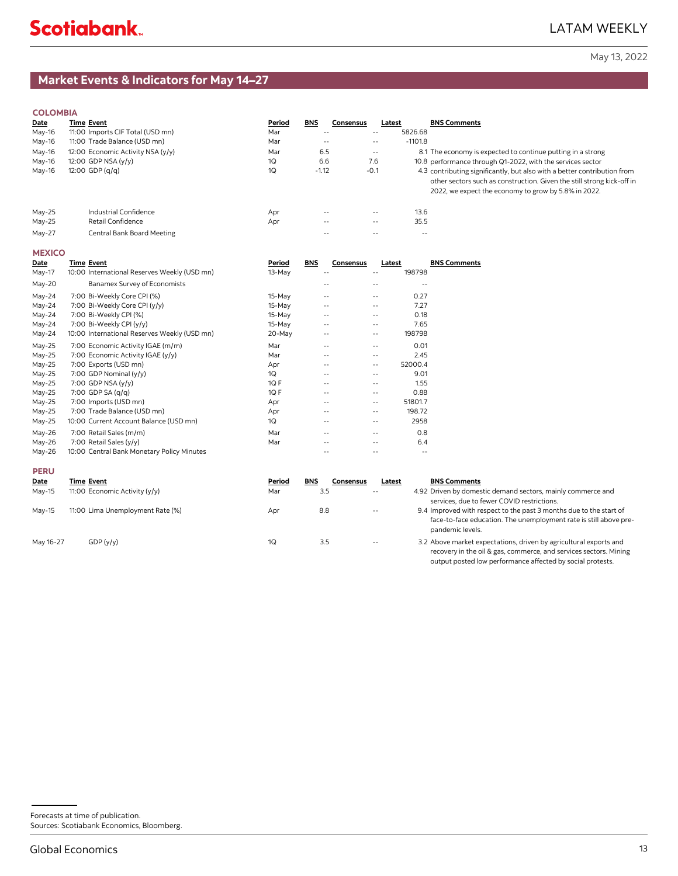## **Market Events & Indicators for May 14–27**

### **COLOMBIA**

| Date   | Time Event                        | Period | <b>BNS</b>    | Consensus | Latest        | <b>BNS Comments</b>                                                                                                                                                                                        |
|--------|-----------------------------------|--------|---------------|-----------|---------------|------------------------------------------------------------------------------------------------------------------------------------------------------------------------------------------------------------|
| May-16 | 11:00 Imports CIF Total (USD mn)  | Mar    | $\frac{1}{2}$ |           | $- -$         | 5826.68                                                                                                                                                                                                    |
| May-16 | 11:00 Trade Balance (USD mn)      | Mar    | $- -$         |           | $- -$         | $-1101.8$                                                                                                                                                                                                  |
| May-16 | 12:00 Economic Activity NSA (y/y) | Mar    | 6.5           |           | $\frac{1}{2}$ | 8.1 The economy is expected to continue putting in a strong                                                                                                                                                |
| May-16 | 12:00 GDP NSA (y/y)               | 1Q     | 6.6           |           | 7.6           | 10.8 performance through Q1-2022, with the services sector                                                                                                                                                 |
| May-16 | $12:00$ GDP $(q/q)$               | 1Q     | $-1.12$       |           | $-0.1$        | 4.3 contributing significantly, but also with a better contribution from<br>other sectors such as construction. Given the still strong kick-off in<br>2022, we expect the economy to grow by 5.8% in 2022. |
| May-25 | Industrial Confidence             | Apr    | $\frac{1}{2}$ |           | $\frac{1}{2}$ | 13.6                                                                                                                                                                                                       |
| May-25 | Retail Confidence                 | Apr    | $\frac{1}{2}$ |           | $- -$         | 35.5                                                                                                                                                                                                       |
| Mav-27 | Central Bank Board Meeting        |        |               |           |               | $- -$                                                                                                                                                                                                      |

### **MEXICO**

| Date     | <b>Time Event</b>                            | Period   | BNS | Consensus         |                   | Latest  | <b>BNS Comments</b> |
|----------|----------------------------------------------|----------|-----|-------------------|-------------------|---------|---------------------|
| May-17   | 10:00 International Reserves Weekly (USD mn) | 13-May   |     | --                | $- -$             | 198798  |                     |
| May-20   | Banamex Survey of Economists                 |          |     |                   |                   |         |                     |
| May-24   | 7:00 Bi-Weekly Core CPI (%)                  | 15-May   |     | $- -$             | $- -$             | 0.27    |                     |
| $May-24$ | 7:00 Bi-Weekly Core CPI (y/y)                | $15-May$ |     | $- -$             | $\sim$ $-$        | 7.27    |                     |
| $May-24$ | 7:00 Bi-Weekly CPI (%)                       | 15-May   |     | $\qquad \qquad -$ | $- -$             | 0.18    |                     |
| $May-24$ | 7:00 Bi-Weekly CPI (y/y)                     | 15-May   |     | $- -$             | $- -$             | 7.65    |                     |
| May-24   | 10:00 International Reserves Weekly (USD mn) | $20-May$ |     | $\qquad \qquad -$ | $\qquad \qquad -$ | 198798  |                     |
| $May-25$ | 7:00 Economic Activity IGAE (m/m)            | Mar      |     | $- -$             | $- -$             | 0.01    |                     |
| $May-25$ | 7:00 Economic Activity IGAE (y/y)            | Mar      |     | $-$               | $\sim$ $-$        | 2.45    |                     |
| $May-25$ | 7:00 Exports (USD mn)                        | Apr      |     | $- -$             | $\qquad \qquad -$ | 52000.4 |                     |
| $May-25$ | 7:00 GDP Nominal $(y/y)$                     | 1Q       |     |                   | $- -$             | 9.01    |                     |
| $May-25$ | 7:00 GDP NSA $(y/y)$                         | $1Q$ F   |     | $\qquad \qquad -$ | $- -$             | 1.55    |                     |
| $May-25$ | 7:00 GDP SA (q/q)                            | $1Q$ F   |     |                   | $- -$             | 0.88    |                     |
| $May-25$ | 7:00 Imports (USD mn)                        | Apr      |     | $- -$             | $\frac{1}{2}$     | 51801.7 |                     |
| May-25   | 7:00 Trade Balance (USD mn)                  | Apr      |     | $\qquad \qquad -$ | $\qquad \qquad -$ | 198.72  |                     |
| May-25   | 10:00 Current Account Balance (USD mn)       | 1Q       |     | $- -$             |                   | 2958    |                     |
| $May-26$ | 7:00 Retail Sales (m/m)                      | Mar      |     | $- -$             | $- -$             | 0.8     |                     |
| $May-26$ | 7:00 Retail Sales (y/y)                      | Mar      |     |                   |                   | 6.4     |                     |
| $May-26$ | 10:00 Central Bank Monetary Policy Minutes   |          |     | $\qquad \qquad -$ | $- -$             | $- -$   |                     |

#### **PERU**

| Date      | <b>Time Event</b>                | Period | <b>BNS</b> | Consensus | Latest        | <b>BNS Comments</b>                                                                                                                                         |
|-----------|----------------------------------|--------|------------|-----------|---------------|-------------------------------------------------------------------------------------------------------------------------------------------------------------|
| May-15    | 11:00 Economic Activity (y/y)    | Mar    | 3.5        |           | $- -$         | 4.92 Driven by domestic demand sectors, mainly commerce and<br>services, due to fewer COVID restrictions.                                                   |
| May-15    | 11:00 Lima Unemployment Rate (%) | Apr    | 8.8        |           | $- -$         | 9.4 Improved with respect to the past 3 months due to the start of<br>face-to-face education. The unemployment rate is still above pre-<br>pandemic levels. |
| May 16-27 | GDP(y/y)                         | 10     | 3.5        |           | $\frac{1}{2}$ | 3.2 Above market expectations, driven by agricultural exports and<br>recovery in the oil & gas, commerce, and services sectors. Mining                      |

Forecasts at time of publication. Sources: Scotiabank Economics, Bloomberg. output posted low performance affected by social protests.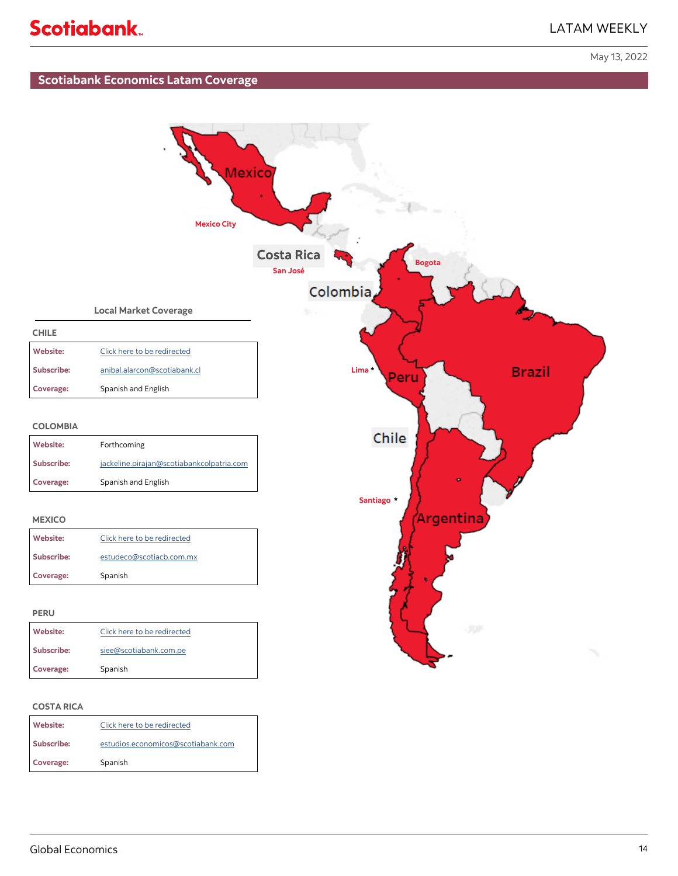## LATAM WEEKLY

May 13, 2022

## **Scotiabank Economics Latam Coverage**



#### **COSTA RICA**

| Website:   | Click here to be redirected        |  |  |  |  |  |
|------------|------------------------------------|--|--|--|--|--|
| Subscribe: | estudios.economicos@scotiabank.com |  |  |  |  |  |
| Coverage:  | Spanish                            |  |  |  |  |  |